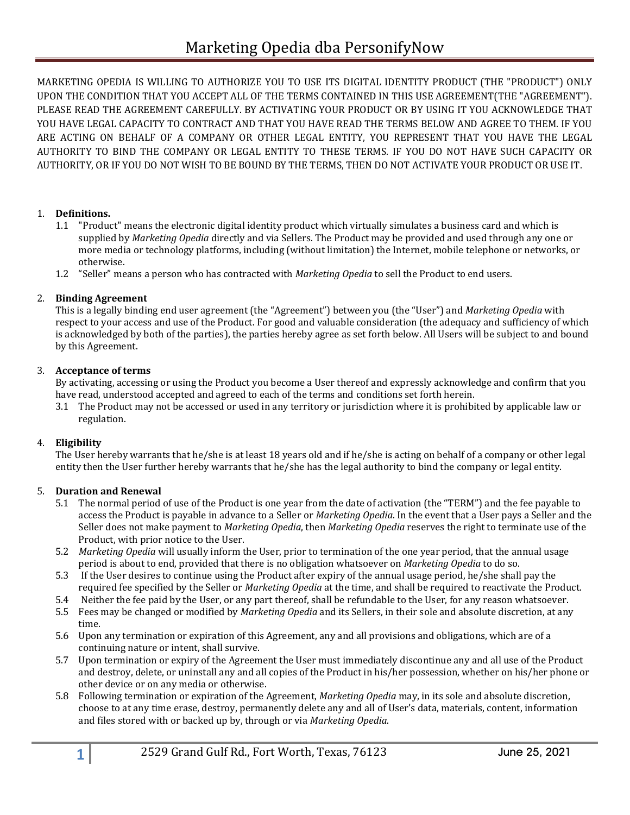MARKETING OPEDIA IS WILLING TO AUTHORIZE YOU TO USE ITS DIGITAL IDENTITY PRODUCT (THE "PRODUCT") ONLY UPON THE CONDITION THAT YOU ACCEPT ALL OF THE TERMS CONTAINED IN THIS USE AGREEMENT(THE "AGREEMENT"). PLEASE READ THE AGREEMENT CAREFULLY. BY ACTIVATING YOUR PRODUCT OR BY USING IT YOU ACKNOWLEDGE THAT YOU HAVE LEGAL CAPACITY TO CONTRACT AND THAT YOU HAVE READ THE TERMS BELOW AND AGREE TO THEM. IF YOU ARE ACTING ON BEHALF OF A COMPANY OR OTHER LEGAL ENTITY, YOU REPRESENT THAT YOU HAVE THE LEGAL AUTHORITY TO BIND THE COMPANY OR LEGAL ENTITY TO THESE TERMS. IF YOU DO NOT HAVE SUCH CAPACITY OR AUTHORITY, OR IF YOU DO NOT WISH TO BE BOUND BY THE TERMS, THEN DO NOT ACTIVATE YOUR PRODUCT OR USE IT.

## 1. **Definitions.**

- 1.1 "Product" means the electronic digital identity product which virtually simulates a business card and which is supplied by *Marketing Opedia* directly and via Sellers. The Product may be provided and used through any one or more media or technology platforms, including (without limitation) the Internet, mobile telephone or networks, or otherwise.
- 1.2 "Seller" means a person who has contracted with *Marketing Opedia* to sell the Product to end users.

#### 2. **Binding Agreement**

This is a legally binding end user agreement (the "Agreement") between you (the "User") and *Marketing Opedia* with respect to your access and use of the Product. For good and valuable consideration (the adequacy and sufficiency of which is acknowledged by both of the parties), the parties hereby agree as set forth below. All Users will be subject to and bound by this Agreement.

#### 3. **Acceptance of terms**

By activating, accessing or using the Product you become a User thereof and expressly acknowledge and confirm that you have read, understood accepted and agreed to each of the terms and conditions set forth herein.

3.1 The Product may not be accessed or used in any territory or jurisdiction where it is prohibited by applicable law or regulation.

## 4. **Eligibility**

The User hereby warrants that he/she is at least 18 years old and if he/she is acting on behalf of a company or other legal entity then the User further hereby warrants that he/she has the legal authority to bind the company or legal entity.

#### 5. **Duration and Renewal**

- 5.1 The normal period of use of the Product is one year from the date of activation (the "TERM") and the fee payable to access the Product is payable in advance to a Seller or *Marketing Opedia*. In the event that a User pays a Seller and the Seller does not make payment to *Marketing Opedia*, then *Marketing Opedia* reserves the right to terminate use of the Product, with prior notice to the User.
- 5.2 *Marketing Opedia* will usually inform the User, prior to termination of the one year period, that the annual usage period is about to end, provided that there is no obligation whatsoever on *Marketing Opedia* to do so.
- 5.3 If the User desires to continue using the Product after expiry of the annual usage period, he/she shall pay the required fee specified by the Seller or *Marketing Opedia* at the time, and shall be required to reactivate the Product.
- 5.4 Neither the fee paid by the User, or any part thereof, shall be refundable to the User, for any reason whatsoever.
- 5.5 Fees may be changed or modified by *Marketing Opedia* and its Sellers, in their sole and absolute discretion, at any time.
- 5.6 Upon any termination or expiration of this Agreement, any and all provisions and obligations, which are of a continuing nature or intent, shall survive.
- 5.7 Upon termination or expiry of the Agreement the User must immediately discontinue any and all use of the Product and destroy, delete, or uninstall any and all copies of the Product in his/her possession, whether on his/her phone or other device or on any media or otherwise.
- 5.8 Following termination or expiration of the Agreement, *Marketing Opedia* may, in its sole and absolute discretion, choose to at any time erase, destroy, permanently delete any and all of User's data, materials, content, information and files stored with or backed up by, through or via *Marketing Opedia*.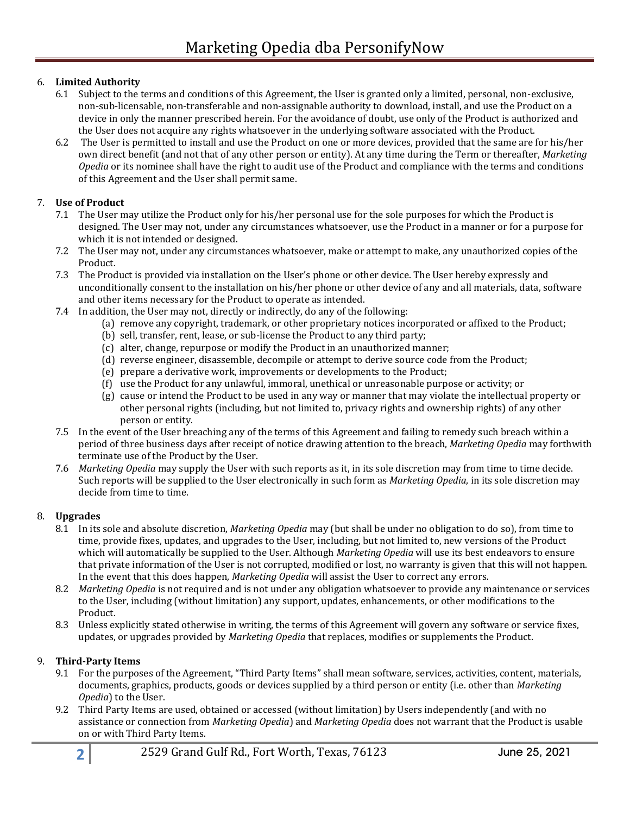# 6. **Limited Authority**

- 6.1 Subject to the terms and conditions of this Agreement, the User is granted only a limited, personal, non-exclusive, non-sub-licensable, non-transferable and non-assignable authority to download, install, and use the Product on a device in only the manner prescribed herein. For the avoidance of doubt, use only of the Product is authorized and the User does not acquire any rights whatsoever in the underlying software associated with the Product.
- 6.2 The User is permitted to install and use the Product on one or more devices, provided that the same are for his/her own direct benefit (and not that of any other person or entity). At any time during the Term or thereafter, *Marketing Opedia* or its nominee shall have the right to audit use of the Product and compliance with the terms and conditions of this Agreement and the User shall permit same.

## 7. **Use of Product**

- 7.1 The User may utilize the Product only for his/her personal use for the sole purposes for which the Product is designed. The User may not, under any circumstances whatsoever, use the Product in a manner or for a purpose for which it is not intended or designed.
- 7.2 The User may not, under any circumstances whatsoever, make or attempt to make, any unauthorized copies of the Product.
- 7.3 The Product is provided via installation on the User's phone or other device. The User hereby expressly and unconditionally consent to the installation on his/her phone or other device of any and all materials, data, software and other items necessary for the Product to operate as intended.
- 7.4 In addition, the User may not, directly or indirectly, do any of the following:
	- (a) remove any copyright, trademark, or other proprietary notices incorporated or affixed to the Product;
	- (b) sell, transfer, rent, lease, or sub-license the Product to any third party;
	- (c) alter, change, repurpose or modify the Product in an unauthorized manner;
	- (d) reverse engineer, disassemble, decompile or attempt to derive source code from the Product;
	- (e) prepare a derivative work, improvements or developments to the Product;
	- (f) use the Product for any unlawful, immoral, unethical or unreasonable purpose or activity; or
	- (g) cause or intend the Product to be used in any way or manner that may violate the intellectual property or other personal rights (including, but not limited to, privacy rights and ownership rights) of any other person or entity.
- 7.5 In the event of the User breaching any of the terms of this Agreement and failing to remedy such breach within a period of three business days after receipt of notice drawing attention to the breach, *Marketing Opedia* may forthwith terminate use of the Product by the User.
- 7.6 *Marketing Opedia* may supply the User with such reports as it, in its sole discretion may from time to time decide. Such reports will be supplied to the User electronically in such form as *Marketing Opedia*, in its sole discretion may decide from time to time.

## 8. **Upgrades**

- 8.1 In its sole and absolute discretion, *Marketing Opedia* may (but shall be under no obligation to do so), from time to time, provide fixes, updates, and upgrades to the User, including, but not limited to, new versions of the Product which will automatically be supplied to the User. Although *Marketing Opedia* will use its best endeavors to ensure that private information of the User is not corrupted, modified or lost, no warranty is given that this will not happen. In the event that this does happen, *Marketing Opedia* will assist the User to correct any errors.
- 8.2 *Marketing Opedia* is not required and is not under any obligation whatsoever to provide any maintenance or services to the User, including (without limitation) any support, updates, enhancements, or other modifications to the Product.
- 8.3 Unless explicitly stated otherwise in writing, the terms of this Agreement will govern any software or service fixes, updates, or upgrades provided by *Marketing Opedia* that replaces, modifies or supplements the Product.

## 9. **Third-Party Items**

- 9.1 For the purposes of the Agreement, "Third Party Items" shall mean software, services, activities, content, materials, documents, graphics, products, goods or devices supplied by a third person or entity (i.e. other than *Marketing Opedia*) to the User.
- 9.2 Third Party Items are used, obtained or accessed (without limitation) by Users independently (and with no assistance or connection from *Marketing Opedia*) and *Marketing Opedia* does not warrant that the Product is usable on or with Third Party Items.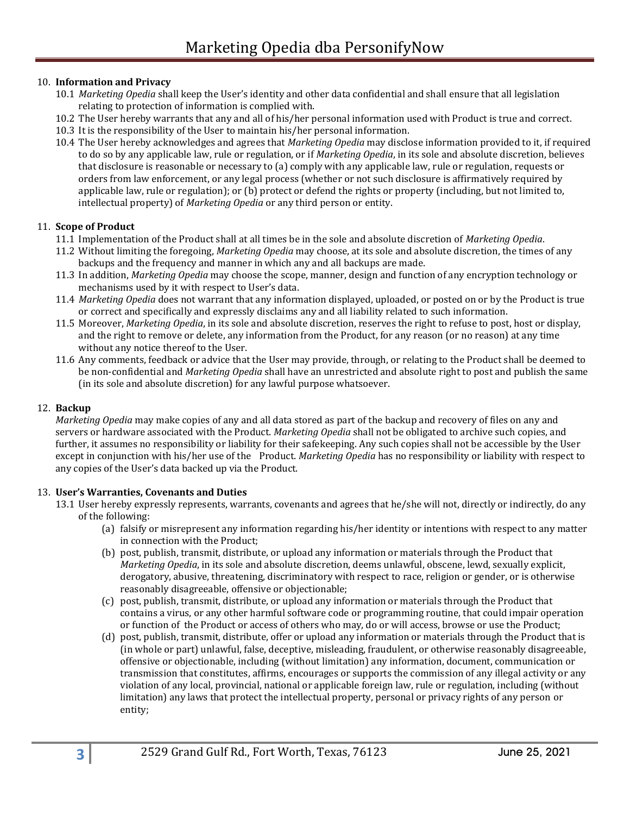## 10. **Information and Privacy**

- 10.1 *Marketing Opedia* shall keep the User's identity and other data confidential and shall ensure that all legislation relating to protection of information is complied with.
- 10.2 The User hereby warrants that any and all of his/her personal information used with Product is true and correct.
- 10.3 It is the responsibility of the User to maintain his/her personal information.
- 10.4 The User hereby acknowledges and agrees that *Marketing Opedia* may disclose information provided to it, if required to do so by any applicable law, rule or regulation, or if *Marketing Opedia*, in its sole and absolute discretion, believes that disclosure is reasonable or necessary to (a) comply with any applicable law, rule or regulation, requests or orders from law enforcement, or any legal process (whether or not such disclosure is affirmatively required by applicable law, rule or regulation); or (b) protect or defend the rights or property (including, but not limited to, intellectual property) of *Marketing Opedia* or any third person or entity.

#### 11. **Scope of Product**

- 11.1 Implementation of the Product shall at all times be in the sole and absolute discretion of *Marketing Opedia*.
- 11.2 Without limiting the foregoing, *Marketing Opedia* may choose, at its sole and absolute discretion, the times of any backups and the frequency and manner in which any and all backups are made.
- 11.3 In addition, *Marketing Opedia* may choose the scope, manner, design and function of any encryption technology or mechanisms used by it with respect to User's data.
- 11.4 *Marketing Opedia* does not warrant that any information displayed, uploaded, or posted on or by the Product is true or correct and specifically and expressly disclaims any and all liability related to such information.
- 11.5 Moreover, *Marketing Opedia*, in its sole and absolute discretion, reserves the right to refuse to post, host or display, and the right to remove or delete, any information from the Product, for any reason (or no reason) at any time without any notice thereof to the User.
- 11.6 Any comments, feedback or advice that the User may provide, through, or relating to the Product shall be deemed to be non-confidential and *Marketing Opedia* shall have an unrestricted and absolute right to post and publish the same (in its sole and absolute discretion) for any lawful purpose whatsoever.

#### 12. **Backup**

*Marketing Opedia* may make copies of any and all data stored as part of the backup and recovery of files on any and servers or hardware associated with the Product. *Marketing Opedia* shall not be obligated to archive such copies, and further, it assumes no responsibility or liability for their safekeeping. Any such copies shall not be accessible by the User except in conjunction with his/her use of the Product. *Marketing Opedia* has no responsibility or liability with respect to any copies of the User's data backed up via the Product.

## 13. **User's Warranties, Covenants and Duties**

13.1 User hereby expressly represents, warrants, covenants and agrees that he/she will not, directly or indirectly, do any of the following:

- (a) falsify or misrepresent any information regarding his/her identity or intentions with respect to any matter in connection with the Product;
- (b) post, publish, transmit, distribute, or upload any information or materials through the Product that *Marketing Opedia*, in its sole and absolute discretion, deems unlawful, obscene, lewd, sexually explicit, derogatory, abusive, threatening, discriminatory with respect to race, religion or gender, or is otherwise reasonably disagreeable, offensive or objectionable;
- (c) post, publish, transmit, distribute, or upload any information or materials through the Product that contains a virus, or any other harmful software code or programming routine, that could impair operation or function of the Product or access of others who may, do or will access, browse or use the Product;
- (d) post, publish, transmit, distribute, offer or upload any information or materials through the Product that is (in whole or part) unlawful, false, deceptive, misleading, fraudulent, or otherwise reasonably disagreeable, offensive or objectionable, including (without limitation) any information, document, communication or transmission that constitutes, affirms, encourages or supports the commission of any illegal activity or any violation of any local, provincial, national or applicable foreign law, rule or regulation, including (without limitation) any laws that protect the intellectual property, personal or privacy rights of any person or entity;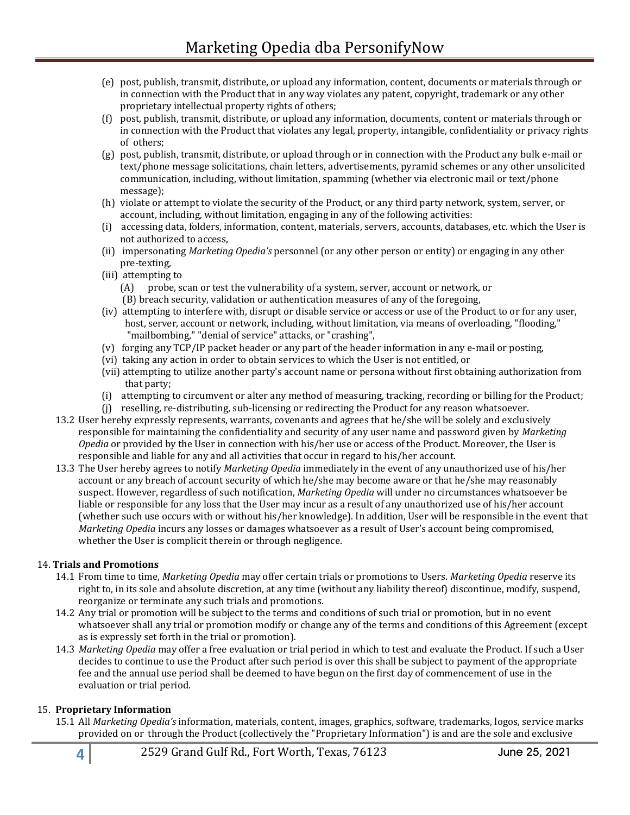- (e) post, publish, transmit, distribute, or upload any information, content, documents or materials through or in connection with the Product that in any way violates any patent, copyright, trademark or any other proprietary intellectual property rights of others;
- (f) post, publish, transmit, distribute, or upload any information, documents, content or materials through or in connection with the Product that violates any legal, property, intangible, confidentiality or privacy rights of others;
- (g) post, publish, transmit, distribute, or upload through or in connection with the Product any bulk e-mail or text/phone message solicitations, chain letters, advertisements, pyramid schemes or any other unsolicited communication, including, without limitation, spamming (whether via electronic mail or text/phone message);
- (h) violate or attempt to violate the security of the Product, or any third party network, system, server, or account, including, without limitation, engaging in any of the following activities:
- (i) accessing data, folders, information, content, materials, servers, accounts, databases, etc. which the User is not authorized to access,
- (ii) impersonating *Marketing Opedia's* personnel (or any other person or entity) or engaging in any other pre-texting,
- (iii) attempting to
	- (A) probe, scan or test the vulnerability of a system, server, account or network, or
	- (B) breach security, validation or authentication measures of any of the foregoing,
- (iv) attempting to interfere with, disrupt or disable service or access or use of the Product to or for any user, host, server, account or network, including, without limitation, via means of overloading, "flooding," "mailbombing," "denial of service" attacks, or "crashing",
- (v) forging any TCP/IP packet header or any part of the header information in any e-mail or posting,
- (vi) taking any action in order to obtain services to which the User is not entitled, or
- (vii) attempting to utilize another party's account name or persona without first obtaining authorization from that party;
- (i) attempting to circumvent or alter any method of measuring, tracking, recording or billing for the Product;
- (j) reselling, re-distributing, sub-licensing or redirecting the Product for any reason whatsoever.
- 13.2 User hereby expressly represents, warrants, covenants and agrees that he/she will be solely and exclusively responsible for maintaining the confidentiality and security of any user name and password given by *Marketing Opedia* or provided by the User in connection with his/her use or access of the Product. Moreover, the User is responsible and liable for any and all activities that occur in regard to his/her account.
- 13.3 The User hereby agrees to notify *Marketing Opedia* immediately in the event of any unauthorized use of his/her account or any breach of account security of which he/she may become aware or that he/she may reasonably suspect. However, regardless of such notification, *Marketing Opedia* will under no circumstances whatsoever be liable or responsible for any loss that the User may incur as a result of any unauthorized use of his/her account (whether such use occurs with or without his/her knowledge). In addition, User will be responsible in the event that *Marketing Opedia* incurs any losses or damages whatsoever as a result of User's account being compromised, whether the User is complicit therein or through negligence.

## 14. **Trials and Promotions**

- 14.1 From time to time, *Marketing Opedia* may offer certain trials or promotions to Users. *Marketing Opedia* reserve its right to, in its sole and absolute discretion, at any time (without any liability thereof) discontinue, modify, suspend, reorganize or terminate any such trials and promotions.
- 14.2 Any trial or promotion will be subject to the terms and conditions of such trial or promotion, but in no event whatsoever shall any trial or promotion modify or change any of the terms and conditions of this Agreement (except as is expressly set forth in the trial or promotion).
- 14.3 *Marketing Opedia* may offer a free evaluation or trial period in which to test and evaluate the Product. If such a User decides to continue to use the Product after such period is over this shall be subject to payment of the appropriate fee and the annual use period shall be deemed to have begun on the first day of commencement of use in the evaluation or trial period.

## 15. **Proprietary Information**

15.1 All *Marketing Opedia's* information, materials, content, images, graphics, software, trademarks, logos, service marks provided on or through the Product (collectively the "Proprietary Information") is and are the sole and exclusive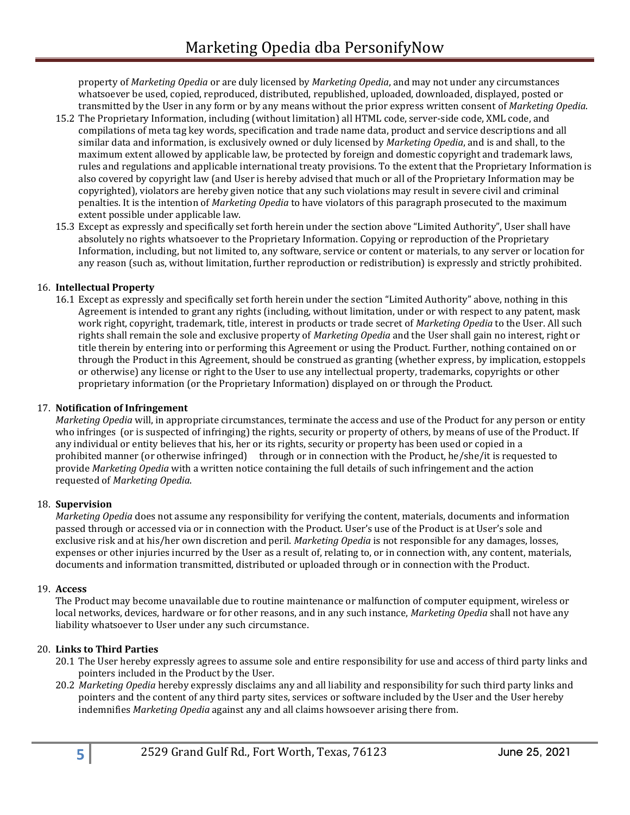property of *Marketing Opedia* or are duly licensed by *Marketing Opedia*, and may not under any circumstances whatsoever be used, copied, reproduced, distributed, republished, uploaded, downloaded, displayed, posted or transmitted by the User in any form or by any means without the prior express written consent of *Marketing Opedia*.

- 15.2 The Proprietary Information, including (without limitation) all HTML code, server-side code, XML code, and compilations of meta tag key words, specification and trade name data, product and service descriptions and all similar data and information, is exclusively owned or duly licensed by *Marketing Opedia*, and is and shall, to the maximum extent allowed by applicable law, be protected by foreign and domestic copyright and trademark laws, rules and regulations and applicable international treaty provisions. To the extent that the Proprietary Information is also covered by copyright law (and User is hereby advised that much or all of the Proprietary Information may be copyrighted), violators are hereby given notice that any such violations may result in severe civil and criminal penalties. It is the intention of *Marketing Opedia* to have violators of this paragraph prosecuted to the maximum extent possible under applicable law.
- 15.3 Except as expressly and specifically set forth herein under the section above "Limited Authority", User shall have absolutely no rights whatsoever to the Proprietary Information. Copying or reproduction of the Proprietary Information, including, but not limited to, any software, service or content or materials, to any server or location for any reason (such as, without limitation, further reproduction or redistribution) is expressly and strictly prohibited.

## 16. **Intellectual Property**

16.1 Except as expressly and specifically set forth herein under the section "Limited Authority" above, nothing in this Agreement is intended to grant any rights (including, without limitation, under or with respect to any patent, mask work right, copyright, trademark, title, interest in products or trade secret of *Marketing Opedia* to the User. All such rights shall remain the sole and exclusive property of *Marketing Opedia* and the User shall gain no interest, right or title therein by entering into or performing this Agreement or using the Product. Further, nothing contained on or through the Product in this Agreement, should be construed as granting (whether express, by implication, estoppels or otherwise) any license or right to the User to use any intellectual property, trademarks, copyrights or other proprietary information (or the Proprietary Information) displayed on or through the Product.

## 17. **Notification of Infringement**

*Marketing Opedia* will, in appropriate circumstances, terminate the access and use of the Product for any person or entity who infringes (or is suspected of infringing) the rights, security or property of others, by means of use of the Product. If any individual or entity believes that his, her or its rights, security or property has been used or copied in a prohibited manner (or otherwise infringed) through or in connection with the Product, he/she/it is requested to provide *Marketing Opedia* with a written notice containing the full details of such infringement and the action requested of *Marketing Opedia*.

#### 18. **Supervision**

*Marketing Opedia* does not assume any responsibility for verifying the content, materials, documents and information passed through or accessed via or in connection with the Product. User's use of the Product is at User's sole and exclusive risk and at his/her own discretion and peril. *Marketing Opedia* is not responsible for any damages, losses, expenses or other injuries incurred by the User as a result of, relating to, or in connection with, any content, materials, documents and information transmitted, distributed or uploaded through or in connection with the Product.

#### 19. **Access**

The Product may become unavailable due to routine maintenance or malfunction of computer equipment, wireless or local networks, devices, hardware or for other reasons, and in any such instance, *Marketing Opedia* shall not have any liability whatsoever to User under any such circumstance.

## 20. **Links to Third Parties**

- 20.1 The User hereby expressly agrees to assume sole and entire responsibility for use and access of third party links and pointers included in the Product by the User.
- 20.2 *Marketing Opedia* hereby expressly disclaims any and all liability and responsibility for such third party links and pointers and the content of any third party sites, services or software included by the User and the User hereby indemnifies *Marketing Opedia* against any and all claims howsoever arising there from.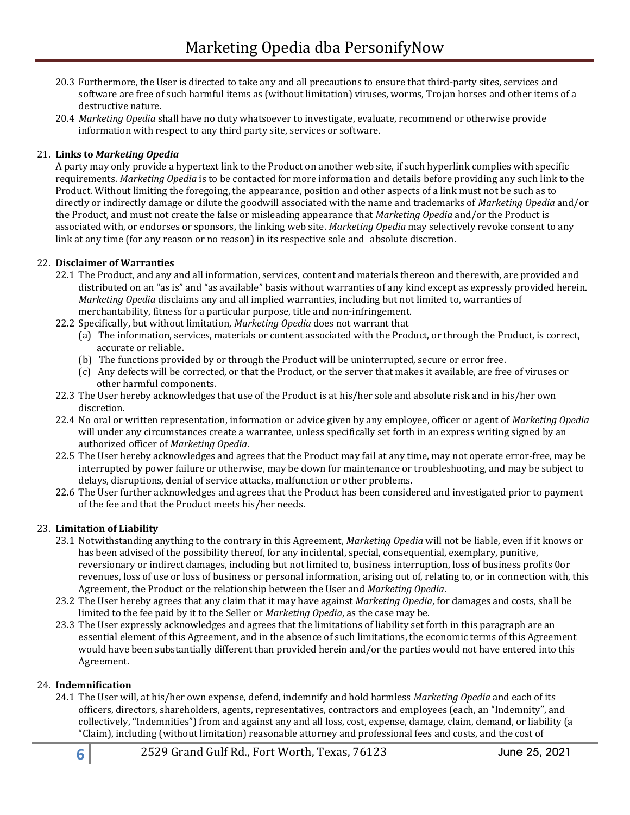- 20.3 Furthermore, the User is directed to take any and all precautions to ensure that third-party sites, services and software are free of such harmful items as (without limitation) viruses, worms, Trojan horses and other items of a destructive nature.
- 20.4 *Marketing Opedia* shall have no duty whatsoever to investigate, evaluate, recommend or otherwise provide information with respect to any third party site, services or software.

## 21. **Links to** *Marketing Opedia*

A party may only provide a hypertext link to the Product on another web site, if such hyperlink complies with specific requirements. *Marketing Opedia* is to be contacted for more information and details before providing any such link to the Product. Without limiting the foregoing, the appearance, position and other aspects of a link must not be such as to directly or indirectly damage or dilute the goodwill associated with the name and trademarks of *Marketing Opedia* and/or the Product, and must not create the false or misleading appearance that *Marketing Opedia* and/or the Product is associated with, or endorses or sponsors, the linking web site. *Marketing Opedia* may selectively revoke consent to any link at any time (for any reason or no reason) in its respective sole and absolute discretion.

## 22. **Disclaimer of Warranties**

- 22.1 The Product, and any and all information, services, content and materials thereon and therewith, are provided and distributed on an "as is" and "as available" basis without warranties of any kind except as expressly provided herein. *Marketing Opedia* disclaims any and all implied warranties, including but not limited to, warranties of merchantability, fitness for a particular purpose, title and non-infringement.
- 22.2 Specifically, but without limitation, *Marketing Opedia* does not warrant that
	- (a) The information, services, materials or content associated with the Product, or through the Product, is correct, accurate or reliable.
	- (b) The functions provided by or through the Product will be uninterrupted, secure or error free.
	- (c) Any defects will be corrected, or that the Product, or the server that makes it available, are free of viruses or other harmful components.
- 22.3 The User hereby acknowledges that use of the Product is at his/her sole and absolute risk and in his/her own discretion.
- 22.4 No oral or written representation, information or advice given by any employee, officer or agent of *Marketing Opedia* will under any circumstances create a warrantee, unless specifically set forth in an express writing signed by an authorized officer of *Marketing Opedia*.
- 22.5 The User hereby acknowledges and agrees that the Product may fail at any time, may not operate error-free, may be interrupted by power failure or otherwise, may be down for maintenance or troubleshooting, and may be subject to delays, disruptions, denial of service attacks, malfunction or other problems.
- 22.6 The User further acknowledges and agrees that the Product has been considered and investigated prior to payment of the fee and that the Product meets his/her needs.

## 23. **Limitation of Liability**

- 23.1 Notwithstanding anything to the contrary in this Agreement, *Marketing Opedia* will not be liable, even if it knows or has been advised of the possibility thereof, for any incidental, special, consequential, exemplary, punitive, reversionary or indirect damages, including but not limited to, business interruption, loss of business profits 0or revenues, loss of use or loss of business or personal information, arising out of, relating to, or in connection with, this Agreement, the Product or the relationship between the User and *Marketing Opedia*.
- 23.2 The User hereby agrees that any claim that it may have against *Marketing Opedia*, for damages and costs, shall be limited to the fee paid by it to the Seller or *Marketing Opedia*, as the case may be.
- 23.3 The User expressly acknowledges and agrees that the limitations of liability set forth in this paragraph are an essential element of this Agreement, and in the absence of such limitations, the economic terms of this Agreement would have been substantially different than provided herein and/or the parties would not have entered into this Agreement.

#### 24. **Indemnification**

24.1 The User will, at his/her own expense, defend, indemnify and hold harmless *Marketing Opedia* and each of its officers, directors, shareholders, agents, representatives, contractors and employees (each, an "Indemnity", and collectively, "Indemnities") from and against any and all loss, cost, expense, damage, claim, demand, or liability (a "Claim), including (without limitation) reasonable attorney and professional fees and costs, and the cost of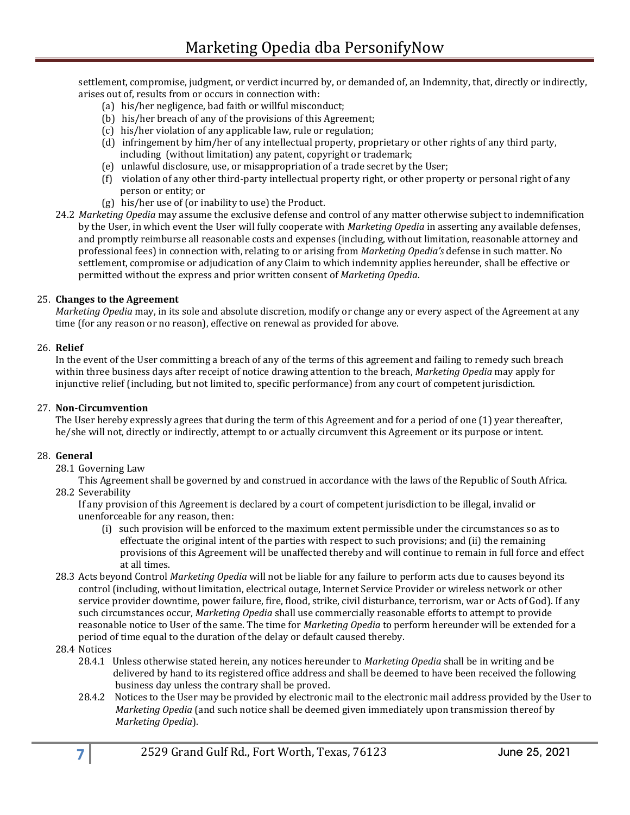settlement, compromise, judgment, or verdict incurred by, or demanded of, an Indemnity, that, directly or indirectly, arises out of, results from or occurs in connection with:

- (a) his/her negligence, bad faith or willful misconduct;
- (b) his/her breach of any of the provisions of this Agreement;
- (c) his/her violation of any applicable law, rule or regulation;
- (d) infringement by him/her of any intellectual property, proprietary or other rights of any third party, including (without limitation) any patent, copyright or trademark;
- (e) unlawful disclosure, use, or misappropriation of a trade secret by the User;
- (f) violation of any other third-party intellectual property right, or other property or personal right of any person or entity; or
- (g) his/her use of (or inability to use) the Product.
- 24.2 *Marketing Opedia* may assume the exclusive defense and control of any matter otherwise subject to indemnification by the User, in which event the User will fully cooperate with *Marketing Opedia* in asserting any available defenses, and promptly reimburse all reasonable costs and expenses (including, without limitation, reasonable attorney and professional fees) in connection with, relating to or arising from *Marketing Opedia's* defense in such matter. No settlement, compromise or adjudication of any Claim to which indemnity applies hereunder, shall be effective or permitted without the express and prior written consent of *Marketing Opedia*.

#### 25. **Changes to the Agreement**

*Marketing Opedia* may, in its sole and absolute discretion, modify or change any or every aspect of the Agreement at any time (for any reason or no reason), effective on renewal as provided for above.

#### 26. **Relief**

In the event of the User committing a breach of any of the terms of this agreement and failing to remedy such breach within three business days after receipt of notice drawing attention to the breach, *Marketing Opedia* may apply for injunctive relief (including, but not limited to, specific performance) from any court of competent jurisdiction.

#### 27. **Non-Circumvention**

The User hereby expressly agrees that during the term of this Agreement and for a period of one (1) year thereafter, he/she will not, directly or indirectly, attempt to or actually circumvent this Agreement or its purpose or intent.

#### 28. **General**

28.1 Governing Law

This Agreement shall be governed by and construed in accordance with the laws of the Republic of South Africa. 28.2 Severability

If any provision of this Agreement is declared by a court of competent jurisdiction to be illegal, invalid or unenforceable for any reason, then:

- (i) such provision will be enforced to the maximum extent permissible under the circumstances so as to effectuate the original intent of the parties with respect to such provisions; and (ii) the remaining provisions of this Agreement will be unaffected thereby and will continue to remain in full force and effect at all times.
- 28.3 Acts beyond Control *Marketing Opedia* will not be liable for any failure to perform acts due to causes beyond its control (including, without limitation, electrical outage, Internet Service Provider or wireless network or other service provider downtime, power failure, fire, flood, strike, civil disturbance, terrorism, war or Acts of God). If any such circumstances occur, *Marketing Opedia* shall use commercially reasonable efforts to attempt to provide reasonable notice to User of the same. The time for *Marketing Opedia* to perform hereunder will be extended for a period of time equal to the duration of the delay or default caused thereby.
- 28.4 Notices
	- 28.4.1 Unless otherwise stated herein, any notices hereunder to *Marketing Opedia* shall be in writing and be delivered by hand to its registered office address and shall be deemed to have been received the following business day unless the contrary shall be proved.
	- 28.4.2 Notices to the User may be provided by electronic mail to the electronic mail address provided by the User to *Marketing Opedia* (and such notice shall be deemed given immediately upon transmission thereof by *Marketing Opedia*).